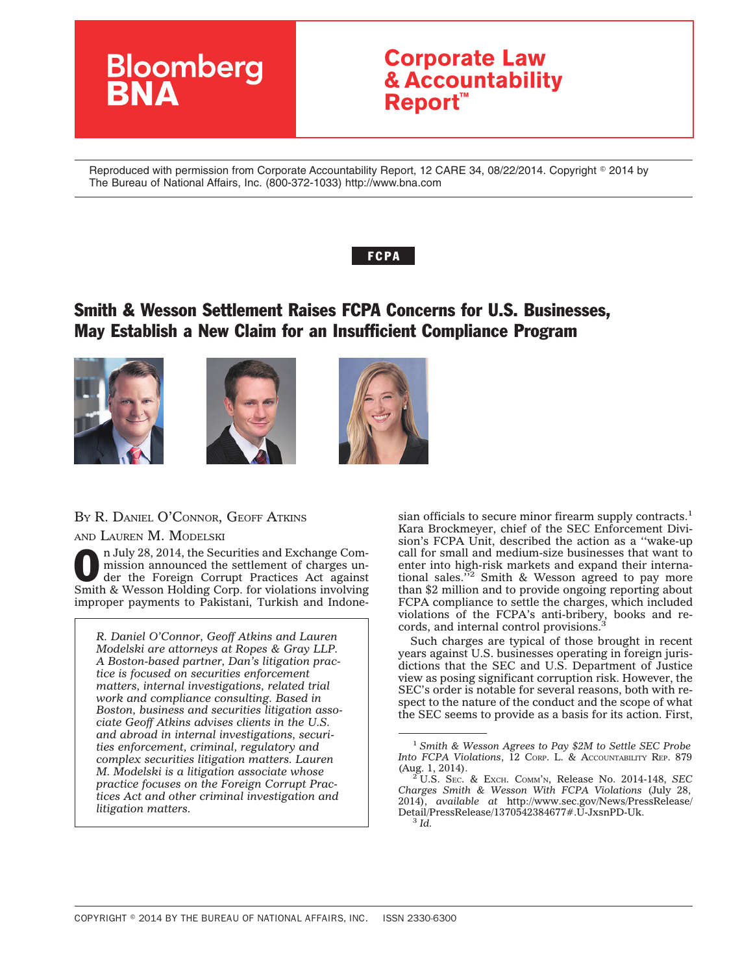

Reproduced with permission from Corporate Accountability Report, 12 CARE 34, 08/22/2014. Copyright © 2014 by The Bureau of National Affairs, Inc. (800-372-1033) http://www.bna.com

## **FCPA**

# Smith & Wesson Settlement Raises FCPA Concerns for U.S. Businesses, May Establish a New Claim for an Insufficient Compliance Program







## BY R. DANIEL O'CONNOR, GEOFF ATKINS

AND LAUREN M. MODELSKI

n July 28, 2014, the Securities and Exchange Commission announced the settlement of charges under the Foreign Corrupt Practices Act against Smith & Wesson Holding Corp. for violations involving improper payments to Pakistani, Turkish and Indone-

*R. Daniel O'Connor, Geoff Atkins and Lauren Modelski are attorneys at Ropes & Gray LLP. A Boston-based partner, Dan's litigation practice is focused on securities enforcement matters, internal investigations, related trial work and compliance consulting. Based in Boston, business and securities litigation associate Geoff Atkins advises clients in the U.S. and abroad in internal investigations, securities enforcement, criminal, regulatory and complex securities litigation matters. Lauren M. Modelski is a litigation associate whose practice focuses on the Foreign Corrupt Practices Act and other criminal investigation and litigation matters.*

sian officials to secure minor firearm supply contracts.<sup>1</sup> Kara Brockmeyer, chief of the SEC Enforcement Division's FCPA Unit, described the action as a ''wake-up call for small and medium-size businesses that want to enter into high-risk markets and expand their interna-tional sales.''2 Smith & Wesson agreed to pay more than \$2 million and to provide ongoing reporting about FCPA compliance to settle the charges, which included violations of the FCPA's anti-bribery, books and records, and internal control provisions.<sup>3</sup>

Such charges are typical of those brought in recent years against U.S. businesses operating in foreign jurisdictions that the SEC and U.S. Department of Justice view as posing significant corruption risk. However, the SEC's order is notable for several reasons, both with respect to the nature of the conduct and the scope of what the SEC seems to provide as a basis for its action. First,

<sup>1</sup> *Smith & Wesson Agrees to Pay \$2M to Settle SEC Probe Into FCPA Violations*, 12 CORP. L. & ACCOUNTABILITY REP. 879 (Aug. 1, 2014).

<sup>(</sup>Aug. 1, 2014). <sup>2</sup> U.S. SEC.&EXCH. COMM'N, Release No. 2014-148, *SEC Charges Smith & Wesson With FCPA Violations* (July 28, 2014), *available at* [http://www.sec.gov/News/PressRelease/](http://www.sec.gov/News/PressRelease/Detail/PressRelease/1370542384677#.U-JxsnPD-Uk) [Detail/PressRelease/1370542384677#.U-JxsnPD-Uk.](http://www.sec.gov/News/PressRelease/Detail/PressRelease/1370542384677#.U-JxsnPD-Uk) <sup>3</sup> *Id.*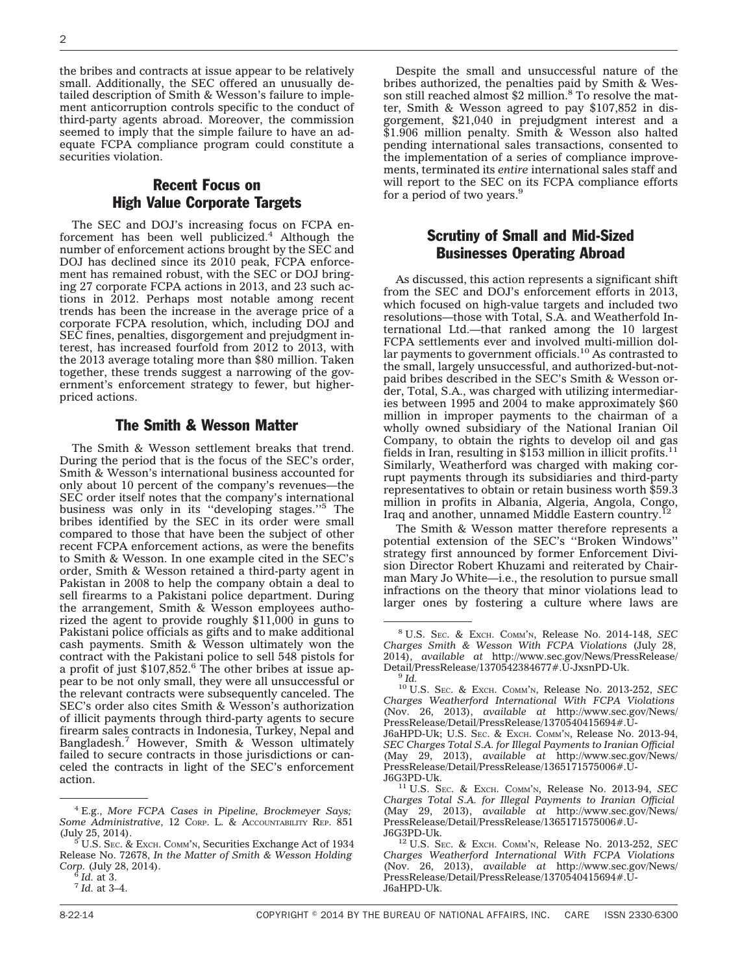the bribes and contracts at issue appear to be relatively small. Additionally, the SEC offered an unusually detailed description of Smith & Wesson's failure to implement anticorruption controls specific to the conduct of third-party agents abroad. Moreover, the commission seemed to imply that the simple failure to have an adequate FCPA compliance program could constitute a securities violation.

## Recent Focus on High Value Corporate Targets

The SEC and DOJ's increasing focus on FCPA enforcement has been well publicized.<sup>4</sup> Although the number of enforcement actions brought by the SEC and DOJ has declined since its 2010 peak, FCPA enforcement has remained robust, with the SEC or DOJ bringing 27 corporate FCPA actions in 2013, and 23 such actions in 2012. Perhaps most notable among recent trends has been the increase in the average price of a corporate FCPA resolution, which, including DOJ and SEC fines, penalties, disgorgement and prejudgment interest, has increased fourfold from 2012 to 2013, with the 2013 average totaling more than \$80 million. Taken together, these trends suggest a narrowing of the government's enforcement strategy to fewer, but higherpriced actions.

#### The Smith & Wesson Matter

The Smith & Wesson settlement breaks that trend. During the period that is the focus of the SEC's order, Smith & Wesson's international business accounted for only about 10 percent of the company's revenues—the SEC order itself notes that the company's international business was only in its ''developing stages.''5 The bribes identified by the SEC in its order were small compared to those that have been the subject of other recent FCPA enforcement actions, as were the benefits to Smith & Wesson. In one example cited in the SEC's order, Smith & Wesson retained a third-party agent in Pakistan in 2008 to help the company obtain a deal to sell firearms to a Pakistani police department. During the arrangement, Smith & Wesson employees authorized the agent to provide roughly \$11,000 in guns to Pakistani police officials as gifts and to make additional cash payments. Smith & Wesson ultimately won the contract with the Pakistani police to sell 548 pistols for a profit of just  $$107,852$ .<sup>6</sup> The other bribes at issue appear to be not only small, they were all unsuccessful or the relevant contracts were subsequently canceled. The SEC's order also cites Smith & Wesson's authorization of illicit payments through third-party agents to secure firearm sales contracts in Indonesia, Turkey, Nepal and Bangladesh.7 However, Smith & Wesson ultimately failed to secure contracts in those jurisdictions or canceled the contracts in light of the SEC's enforcement action.

Despite the small and unsuccessful nature of the bribes authorized, the penalties paid by Smith & Wesson still reached almost \$2 million.<sup>8</sup> To resolve the matter, Smith & Wesson agreed to pay \$107,852 in disgorgement, \$21,040 in prejudgment interest and a \$1.906 million penalty. Smith & Wesson also halted pending international sales transactions, consented to the implementation of a series of compliance improvements, terminated its *entire* international sales staff and will report to the SEC on its FCPA compliance efforts for a period of two years.<sup>9</sup>

## Scrutiny of Small and Mid-Sized Businesses Operating Abroad

As discussed, this action represents a significant shift from the SEC and DOJ's enforcement efforts in 2013, which focused on high-value targets and included two resolutions—those with Total, S.A. and Weatherfold International Ltd.—that ranked among the 10 largest FCPA settlements ever and involved multi-million dollar payments to government officials.<sup>10</sup> As contrasted to the small, largely unsuccessful, and authorized-but-notpaid bribes described in the SEC's Smith & Wesson order, Total, S.A., was charged with utilizing intermediaries between 1995 and 2004 to make approximately \$60 million in improper payments to the chairman of a wholly owned subsidiary of the National Iranian Oil Company, to obtain the rights to develop oil and gas fields in Iran, resulting in \$153 million in illicit profits.11 Similarly, Weatherford was charged with making corrupt payments through its subsidiaries and third-party representatives to obtain or retain business worth \$59.3 million in profits in Albania, Algeria, Angola, Congo, Iraq and another, unnamed Middle Eastern country.<sup>1</sup>

The Smith & Wesson matter therefore represents a potential extension of the SEC's ''Broken Windows'' strategy first announced by former Enforcement Division Director Robert Khuzami and reiterated by Chairman Mary Jo White—i.e., the resolution to pursue small infractions on the theory that minor violations lead to larger ones by fostering a culture where laws are

<sup>4</sup> E.g., *More FCPA Cases in Pipeline, Brockmeyer Says;* Some Administrative, 12 Corp. L. & Accountability Rep. 851 (July 25, 2014).

 $5$  U.S. Sec. & Exch. Comm'n, Securities Exchange Act of 1934 Release No. 72678, *In the Matter of Smith & Wesson Holding Corp.* (July 28, 2014). <sup>6</sup> *Id.* at 3. <sup>7</sup> *Id.* at 3–4.

<sup>8</sup> U.S. SEC.&EXCH. COMM'N, Release No. 2014-148, *SEC Charges Smith & Wesson With FCPA Violations* (July 28, 2014), *available at* [http://www.sec.gov/News/PressRelease/](http://www.sec.gov/News/PressRelease/Detail/PressRelease/1370542384677#.U-JxsnPD-Uk) [Detail/PressRelease/1370542384677#.U-JxsnPD-Uk.](http://www.sec.gov/News/PressRelease/Detail/PressRelease/1370542384677#.U-JxsnPD-Uk) <sup>9</sup> *Id.*

<sup>10</sup> U.S. SEC.&EXCH. COMM'N, Release No. 2013-252, *SEC Charges Weatherford International With FCPA Violations* (Nov. 26, 2013), *available at* [http://www.sec.gov/News/](http://www.sec.gov/News/PressRelease/Detail/PressRelease/1370540415694#.U-J6aHPD-Uk) [PressRelease/Detail/PressRelease/1370540415694#.U-](http://www.sec.gov/News/PressRelease/Detail/PressRelease/1370540415694#.U-J6aHPD-Uk)[J6aHPD-Uk;](http://www.sec.gov/News/PressRelease/Detail/PressRelease/1370540415694#.U-J6aHPD-Uk) U.S. SEC. & EXCH. COMM'N, Release No. 2013-94, *SEC Charges Total S.A. for Illegal Payments to Iranian Official*

<sup>(</sup>May 29, 2013), *available at* [http://www.sec.gov/News/](http://www.sec.gov/News/PressRelease/Detail/PressRelease/1365171575006#.U-J6G3PD-Uk) [PressRelease/Detail/PressRelease/1365171575006#.U-](http://www.sec.gov/News/PressRelease/Detail/PressRelease/1365171575006#.U-J6G3PD-Uk)

<sup>&</sup>lt;sup>11</sup> U.S. SEC. & EXCH. COMM'N, Release No. 2013-94, *SEC Charges Total S.A. for Illegal Payments to Iranian Official* (May 29, 2013), *available at* [http://www.sec.gov/News/](http://www.sec.gov/News/PressRelease/Detail/PressRelease/1365171575006#.U-J6G3PD-Uk) PressRelease/Detail/PressRelease/1365171575006#.U-<br>J6G3PD-Uk.

<sup>&</sup>lt;sup>12</sup> U.S. SEC. & EXCH. COMM'N, Release No. 2013-252, *SEC Charges Weatherford International With FCPA Violations* (Nov. 26, 2013), *available at* [http://www.sec.gov/News/](http://www.sec.gov/News/PressRelease/Detail/PressRelease/1370540415694#.U-J6aHPD-Uk) [PressRelease/Detail/PressRelease/1370540415694#.U-](http://www.sec.gov/News/PressRelease/Detail/PressRelease/1370540415694#.U-J6aHPD-Uk)[J6aHPD-Uk.](http://www.sec.gov/News/PressRelease/Detail/PressRelease/1370540415694#.U-J6aHPD-Uk)